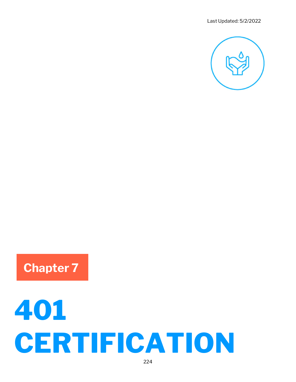

## Chapter 7

# 401 **CERTIFICATION**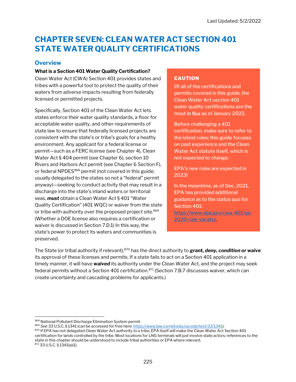### CHAPTER SEVEN: CLEAN WATER ACT SECTION 401 STATE WATER QUALITY CERTIFICATIONS

#### **Overview**

#### What is a Section 401 Water Quality Certification?

Clean Water Act (CWA) Section 401 provides states and tribes with a powerful tool to protect the quality of their waters from adverse impacts resulting from federally licensed or permitted projects.

Specifically, Section 401 of the Clean Water Act lets states enforce their water quality standards, a floor for acceptable water quality, and other requirements of state law to ensure that federally licensed projects are consistent with the state's or tribe's goals for a heathy environment. Any applicant for a federal license or permit—such as a FERC license (see Chapter 4), Clean Water Act § 404 permit (see Chapter 6), section 10 Rivers and Harbors Act permit (see Chapter 6 Section F), or federal NPDES<sup>868</sup> permit (not covered in this guide; usually delegated to the states so not a "federal" permit anyway)—seeking to conduct activity that may result in a discharge into the state's inland waters or territorial seas, must obtain a Clean Water Act § 401 "Water Quality Certification" (401 WQC) or waiver from the state or tribe with authority over the proposed project site.<sup>869</sup> (Whether a DOE license also requires a certification or waiver is discussed in Section 7.D.1) In this way, the state's power to protect its waters and communities is preserved.

#### CAUTION

Of all of the certifications and permits covered in this guide, the Clean Water Act section 401 water quality certifications are the most in flux as of January 2022.

Before challenging a 401 certification, make sure to refer to the latest rules; this guide focuses on past experience and the Clean Water Act statute itself, which is not expected to change.

EPA's new rules are expected in 2023!

In the meantime, as of Dec. 2021, EPA has provided additional guidance as to the status quo for Section 401: https://www.epa.gov/cwa-401/qa-2020-rule-vacatur.

The State (or tribal authority if relevant),<sup>870</sup> has the direct authority to grant, deny, condition or waive its approval of these licenses and permits. If a state fails to act on a Section 401 application in a timely manner, it will have waived its authority under the Clean Water Act, and the project may seek federal permits without a Section 401 certification.<sup>871</sup> (Section 7.B.7 discusses waiver, which can create uncertainty and cascading problems for applicants.)

<sup>868</sup> National Pollutant Discharge Elimination System permit.

<sup>869</sup> See 33 U.S.C. § 1341 (can be accessed for free here: https://www.law.cornell.edu/uscode/text/33/1341).

<sup>870</sup> If EPA has not delegated Clean Water Act authority to a tribe, EPA itself will make the Clean Water Act Section 401 certification for lands controlled by the tribe. Most locations for LNG terminals will just involve state actors; references to the state in this chapter should be understood to include tribal authorities or EPA where relevant. <sup>871</sup> 33 U.S.C. § 1341(a)(1).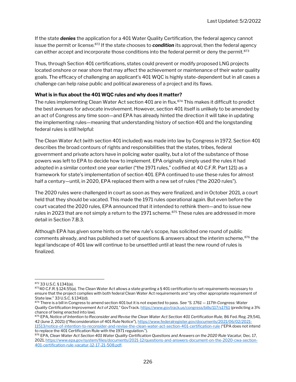If the state **denies** the application for a 401 Water Quality Certification, the federal agency cannot issue the permit or license.<sup>872</sup> If the state chooses to **condition** its approval, then the federal agency can either accept and incorporate those conditions into the federal permit or deny the permit.<sup>873</sup>

Thus, through Section 401 certifications, states could prevent or modify proposed LNG projects located onshore or near shore that may affect the achievement or maintenance of their water quality goals. The efficacy of challenging an applicant's 401 WQC is highly state-dependent but in all cases a challenge can help raise public and political awareness of a project and its flaws.

#### What is in flux about the 401 WQC rules and why does it matter?

The rules implementing Clean Water Act section 401 are in flux.<sup>874</sup> This makes it difficult to predict the best avenues for advocate involvement. However, section 401 itself is unlikely to be amended by an act of Congress any time soon—and EPA has already hinted the direction it will take in updating the implementing rules—meaning that understanding history of section 401 and the longstanding federal rules is still helpful:

The Clean Water Act (with section 401 included) was made into law by Congress in 1972. Section 401 describes the broad contours of rights and responsibilities that the states, tribes, federal government and private actors have in policing water quality, but a lot of the substance of those powers was left to EPA to decide how to implement. EPA originally simply used the rules it had adopted in a similar context one year earlier ("the 1971 rules," codified at 40 C.F.R. Part 121) as a framework for state's implementation of section 401. EPA continued to use these rules for almost half a century—until, in 2020, EPA replaced them with a new set of rules ("the 2020 rules").

The 2020 rules were challenged in court as soon as they were finalized, and in October 2021, a court held that they should be vacated. This made the 1971 rules operational again. But even before the court vacated the 2020 rules, EPA announced that it intended to rethink them—and to issue new rules in 2023 that are not simply a return to the 1971 scheme.<sup>875</sup> These rules are addressed in more detail in Section 7.B.3.

Although EPA has given some hints on the new rule's scope, has solicited one round of public comments already, and has published a set of questions & answers about the interim scheme,  $876$  the legal landscape of 401 law will continue to be unsettled until at least the new round of rules is finalized.

<sup>872</sup> 33 U.S.C. § 1341(a).

<sup>87340</sup> C.F.R. § 124.55(a). The Clean Water Act allows a state granting a § 401 certification to set requirements necessary to ensure that the project complies with both federal Clean Water Act requirements and "any other appropriate requirement of State law." 33 U.S.C. § 1341(d).

<sup>874</sup> There is a bill in Congress to amend section 401 but it is not expected to pass. See "S. 1761 - 117th Congress: Water Quality Certification Improvement Act of 2021," GovTrack. https://www.govtrack.us/congress/bills/117/s1761 (predicting a 3% chance of being enacted into law).

<sup>875</sup> EPA, Notice of Intention to Reconsider and Revise the Clean Water Act Section 401 Certification Rule, 86 Fed. Reg. 29,541, 42 (June 2, 2021) (("Reconsideration of 401 Rule Notice"), https://www.federalregister.gov/documents/2021/06/02/2021- 11513/notice-of-intention-to-reconsider-and-revise-the-clean-water-act-section-401-certification-rule ("EPA does not intend

to replace the 401 Certification Rule with the 1971 regulation."). 876 EPA, Clean Water Act Section 401 Water Quality Certification Questions and Answers on the 2020 Rule Vacatur, Dec. 17, 2021, https://www.epa.gov/system/files/documents/2021-12/questions-and-answers-document-on-the-2020-cwa-section-401-certification-rule-vacatur-12-17-21-508.pdf.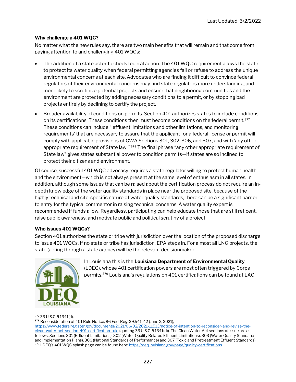#### Why challenge a 401 WQC?

No matter what the new rules say, there are two main benefits that will remain and that come from paying attention to and challenging 401 WQCs:

- The addition of a state actor to check federal action. The 401 WQC requirement allows the state to protect its water quality when federal permitting agencies fail or refuse to address the unique environmental concerns at each site. Advocates who are finding it difficult to convince federal regulators of their environmental concerns may find state regulators more understanding, and more likely to scrutinize potential projects and ensure that neighboring communities and the environment are protected by adding necessary conditions to a permit, or by stopping bad projects entirely by declining to certify the project.
- Broader availability of conditions on permits. Section 401 authorizes states to include conditions on its certifications. These conditions then must become conditions on the federal permit.<sup>877</sup> These conditions can include "'effluent limitations and other limitations, and monitoring requirements' that are necessary to assure that the applicant for a federal license or permit will comply with applicable provisions of CWA Sections 301, 302, 306, and 307, and with 'any other appropriate requirement of State law."<sup>878</sup> The final phrase "any other appropriate requirement of State law" gives states substantial power to condition permits—if states are so inclined to protect their citizens and environment.

Of course, successful 401 WQC advocacy requires a state regulator willing to protect human health and the environment—which is not always present at the same level of enthusiasm in all states. In addition, although some issues that can be raised about the certification process do not require an indepth knowledge of the water quality standards in place near the proposed site, because of the highly technical and site-specific nature of water quality standards, there can be a significant barrier to entry for the typical commentor in raising technical concerns. A water quality expert is recommended if funds allow. Regardless, participating can help educate those that are still reticent, raise public awareness, and motivate public and political scrutiny of a project.

#### Who issues 401 WQCs?

Section 401 authorizes the state or tribe with jurisdiction over the location of the proposed discharge to issue 401 WQCs. If no state or tribe has jurisdiction, EPA steps in. For almost all LNG projects, the state (acting through a state agency) will be the relevant decisionmaker.



In Louisiana this is the Louisiana Department of Environmental Quality (LDEQ), whose 401 certification powers are most often triggered by Corps permits.<sup>879</sup> Louisiana's regulations on 401 certifications can be found at LAC

#### <sup>877</sup> 33 U.S.C. § 1341(d).

878 Reconsideration of 401 Rule Notice, 86 Fed. Reg. 29,541, 42 (June 2, 2021),

https://www.federalregister.gov/documents/2021/06/02/2021-11513/notice-of-intention-to-reconsider-and-revise-theclean-water-act-section-401-certification-rule (quoting 33 U.S.C. § 1341(d)). The Clean Water Act sections at issue are as follows: Sections 301 (Effluent Limitations), 302 (Water Quality Related Effluent Limitations), 303 (Water Quality Standards and Implementation Plans), 306 (National Standards of Performance) and 307 (Toxic and Pretreatment Effluent Standards). 879 LDEQ's 401 WQC splash page can be found here: https://deq.louisiana.gov/page/quality-certifications.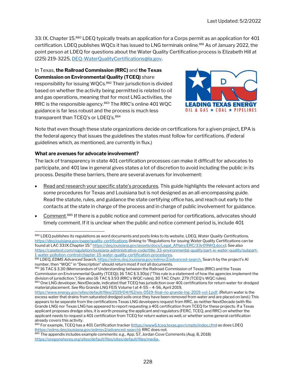33: IX. Chapter 15.880 LDEQ typically treats an application for a Corps permit as an application for 401 certification. LDEQ publishes WQCs it has issued to LNG terminals online.<sup>881</sup> As of January 2022, the point person at LDEQ for questions about the Water Quality Certification process is Elizabeth Hill at (225) 219-3225, DEQ-WaterQualityCertifications@la.gov.

In Texas, the Railroad Commission (RRC) and the Texas Commission on Environmental Quality (TCEQ) share responsibility for issuing WQCs.<sup>882</sup> Their jurisdiction is divided based on whether the activity being permitted is related to oil and gas operations, meaning that for most LNG activities, the RRC is the responsible agency.<sup>883</sup> The RRC's online 401 WQC guidance is far less robust and the process is much less transparent than TCEQ's or LDEQ's.<sup>884</sup>



Note that even though these state organizations decide on certifications for a given project, EPA is the federal agency that issues the guidelines the states must follow for certifications. (Federal guidelines which, as mentioned, are currently in flux.)

#### What are avenues for advocate involvement?

The lack of transparency in state 401 certification processes can make it difficult for advocates to participate, and 401 law in general gives states a lot of discretion to avoid including the public in its process. Despite these barriers, there are several avenues for involvement:

- Read and research your specific state's procedures. This guide highlights the relevant actors and some procedures for Texas and Louisiana but is not designed as an all-encompassing guide. Read the statute, rules, and guidance the state certifying office has, and reach out early to the contacts at the state in charge of the process and in charge of public involvement for guidance.
- Comment.<sup>885</sup> If there is a public notice and comment period for certifications, advocates should timely comment. If it is unclear when the public and notice comment period is, include 401

<sup>880</sup> LDEQ publishes its regulations as word documents and posts links to its website. LDEQ, Water Quality Certifications, https://deq.louisiana.gov/page/quality-certifications (linking to "Regulations for issuing Water Quality Certifications can be found at LAC 33:IX.Chapter 15:" https://deq.louisiana.gov/assets/docs/Legal\_Affairs/ERC/33v09WQ.docx); See also https://casetext.com/regulation/louisiana-administrative-code/title-33-environmental-quality/part-ix-water-quality/subpart-1-water-pollution-control/chapter-15-water-quality-certification-procedures.

<sup>881</sup> LDEQ, EDMS Advanced Search, https://edms.deq.louisiana.gov/edmsv2/advanced-search. Search by the project's AI number, then "WQC" in "Description" should return most if not all documents.

<sup>882 16</sup> TAC § 3.30 (Memorandum of Understanding between the Railroad Commission of Texas (RRC) and the Texas Commission on Environmental Quality (TCEQ)); 16 TAC § 3.30(a) ("This rule is a statement of how the agencies implement the division of jurisdiction.") See also 16 TAC § 3.93 (RRC's WQC rules); 30 TAC Chptr. 279 (TCEQ's WQC rules).

<sup>883</sup> One LNG developer, NextDecade, indicated that TCEQ has jurisdiction over 401 certifications for return water for dredged material placement. See Rio Grande LNG FEIS Volume I at 4-55 – 4-56, April 2019,

https://www.energy.gov/sites/default/files/2019/04/f62/eis-0519-final-rio-grande-lng-2019-vol-1.pdf. (Return water is the excess water that drains from saturated dredged soils once they have been removed from water and are placed on land.) This appears to be separate from the certifications Texas LNG developers request from RRC, as neither NextDecade (with Rio Grande LNG) nor Texas LNG has appeared to report requesting a 401 certification from TCEQ for these projects. If a Texas applicant proposes dredge sites, it is worth pressing the applicant and regulators (FERC, TCEQ, and RRC) on whether the applicant needs to request a 401 certification from TCEQ for return waters as well, or whether some general certification already covers this activity.

<sup>884</sup> For example, TCEQ has a 401 Certification tracker (https://www6.tceq.texas.gov/cmpts/index.cfm) as does LDEQ (https://edms.deq.louisiana.gov/edmsv2/advanced-search); RRC does not.

<sup>885</sup> The appendix includes example comments: e.g., App. 57, Jordan Cove Comments (Aug. 8, 2018) https://oregonshores.org/sites/default/files/sites/default/files/media-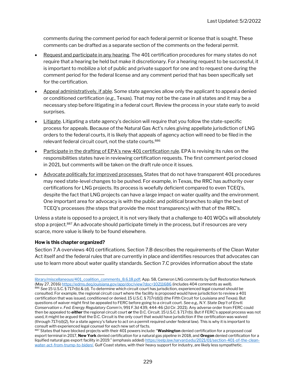comments during the comment period for each federal permit or license that is sought. These comments can be drafted as a separate section of the comments on the federal permit.

- Request and participate in any hearing. The 401 certification procedures for many states do not require that a hearing be held but make it discretionary. For a hearing request to be successful, it is important to mobilize a lot of public and private support for one and to request one during the comment period for the federal license and any comment period that has been specifically set for the certification.
- Appeal administratively, if able. Some state agencies allow only the applicant to appeal a denied or conditioned certification (e.g., Texas). That may not be the case in all states and it may be a necessary step before litigating in a federal court. Review the process in your state early to avoid surprises.
- Litigate. Litigating a state agency's decision will require that you follow the state-specific process for appeals. Because of the Natural Gas Act's rules giving appellate jurisdiction of LNG orders to the federal courts, it is likely that appeals of agency action will need to be filed in the relevant federal circuit court, not the state courts.<sup>886</sup>
- Participate in the drafting of EPA's new 401 certification rule. EPA is revising its rules on the responsibilities states have in reviewing certification requests. The first comment period closed in 2021, but comments will be taken on the draft rule once it issues.
- Advocate politically for improved processes. States that do not have transparent 401 procedures may need state-level changes to be pushed. For example, in Texas, the RRC has authority over certifications for LNG projects. Its process is woefully deficient compared to even TCEQ's, despite the fact that LNG projects can have a large impact on water quality and the environment. One important area for advocacy is with the public and political branches to align the best of TCEQ's processes (the steps that provide the most transparency) with that of the RRC's.

Unless a state is opposed to a project, it is not very likely that a challenge to 401 WQCs will absolutely stop a project.<sup>887</sup> An advocate should participate timely in the process, but if resources are very scarce, more value is likely to be found elsewhere.

#### How is this chapter organized?

Section 7.A overviews 401 certifications. Section 7.B describes the requirements of the Clean Water Act itself and the federal rules that are currently in place and identifies resources that advocates can use to learn more about water quality standards. Section 7.C provides information about the state

library/miscellaneous/401\_coalition\_comments\_8.6.18.pdf; App. 58, Cameron LNG comments by Gulf Restoration Network (May 27, 2016) https://edms.deq.louisiana.gov/app/doc/view?doc=10211686 (includes 404 comments as well). 886 See 15 U.S.C. § 717r(b) & (d). To determine which circuit court has jurisdiction, experienced legal counsel should be consulted. For example, the regional circuit court where the facility is proposed would have jurisdiction to review a 401 certification that was issued, conditioned or denied. 15 U.S.C. § 717r(d)(1) (the Fifth Circuit for Louisiana and Texas). But questions of waiver might first be appealed to FERC before going to a circuit court. See e.g., N.Y. State Dep't of Envtl. Conservation v. Fed. Energy Regulatory Comm'n, 991 F.3d 439, 444-46 (2d Cir. 2021). Any adverse order from FERC could then be appealed to *either* the regional circuit court or the D.C. Circuit. 15 U.S.C. § 717r(b). But if FERC's appeal process was not used, it might be argued that the D.C. Circuit is the only court that would have jurisdiction if the certification was waived (through 717r(d)(2), for a state agency's failure to act on a permit required under federal law). This is why it is important to consult with experienced legal counsel for each new set of facts.

<sup>887</sup> States that have blocked projects with their 401 powers include: "Washington denied certification for a proposed coal export terminal in 2017, New York denied certification for a natural gas pipeline in 2018, and Oregon denied certification for a liquified natural gas export facility in 2019." (emphasis added) https://eelp.law.harvard.edu/2021/01/section-401-of-the-cleanwater-act-from-trump-to-biden/. Gulf Coast states, with their heavy support for industry, are likely less sympathetic.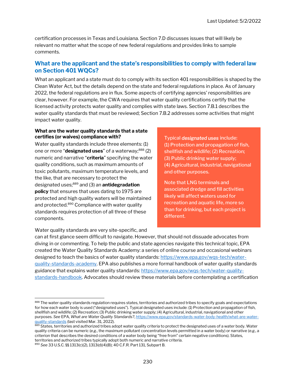certification processes in Texas and Louisiana. Section 7.D discusses issues that will likely be relevant no matter what the scope of new federal regulations and provides links to sample comments.

#### What are the applicant and the state's responsibilities to comply with federal law on Section 401 WQCs?

What an applicant and a state must do to comply with its section 401 responsibilities is shaped by the Clean Water Act, but the details depend on the state and federal regulations in place. As of January 2022, the federal regulations are in flux. Some aspects of certifying agencies' responsibilities are clear, however. For example, the CWA requires that water quality certifications certify that the licensed activity protects water quality and complies with state laws. Section 7.B.1 describes the water quality standards that must be reviewed; Section 7.B.2 addresses some activities that might impact water quality.

#### What are the water quality standards that a state certifies (or waives) compliance with?

Water quality standards include three elements: (1) one or more "designated uses" of a waterway;<sup>888</sup> (2) numeric and narrative "criteria" specifying the water quality conditions, such as maximum amounts of toxic pollutants, maximum temperature levels, and the like, that are necessary to protect the designated uses; $889$  and (3) an **antidegradation** policy that ensures that uses dating to 1975 are protected and high quality waters will be maintained and protected.<sup>890</sup> Compliance with water quality standards requires protection of all three of these components.

Typical **designated uses** include: (1) Protection and propagation of fish, shellfish and wildlife; (2) Recreation; (3) Public drinking water supply; (4) Agricultural, industrial, navigational and other purposes.

Note that LNG terminals and associated dredge and fill activities likely will affect waters used for recreation and aquatic life, more so than for drinking, but each project is different.

Water quality standards are very site-specific, and

can at first glance seem difficult to navigate. However, that should not dissuade advocates from diving in or commenting. To help the public and state agencies navigate this technical topic, EPA created the Water Quality Standards Academy: a series of online course and occasional webinars designed to teach the basics of water quality standards: https://www.epa.gov/wqs-tech/waterquality-standards-academy. EPA also publishes a more formal handbook of water quality standards guidance that explains water quality standards: https://www.epa.gov/wqs-tech/water-qualitystandards-handbook. Advocates should review these materials before contemplating a certification

<sup>888</sup> The water quality standards regulation requires states, territories and authorized tribes to specify goals and expectations for how each water body is used ("designated uses"). Typical designated uses include: (1) Protection and propagation of fish, shellfish and wildlife; (2) Recreation; (3) Public drinking water supply; (4) Agricultural, industrial, navigational and other purposes. See EPA, What are Water Quality Standards?, https://www.epa.gov/standards-water-body-health/what-are-waterquality-standards (last visited Mar. 31, 2022).

<sup>889</sup> States, territories and authorized tribes adopt water quality criteria to protect the designated uses of a water body. Water quality criteria can be numeric (e.g., the maximum pollutant concentration levels permitted in a water body) or narrative (e.g., a criterion that describes the desired conditions of a water body being "free from" certain negative conditions). States, territories and authorized tribes typically adopt both numeric and narrative criteria.

<sup>890</sup> See 33 U.S.C. §§ 1313(c)(2), 1313(d)(4)(B); 40 C.F.R. Part 131, Subpart B.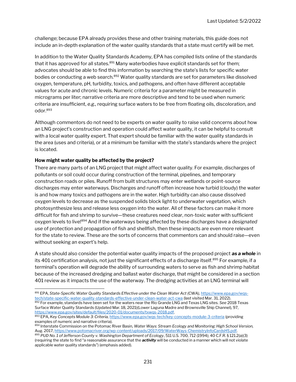challenge; because EPA already provides these and other training materials, this guide does not include an in-depth explanation of the water quality standards that a state must certify will be met.

In addition to the Water Quality Standards Academy, EPA has compiled lists online of the standards that it has approved for all states. $891$  Many waterbodies have explicit standards set for them; advocates should be able to find this information by searching the state's lists for specific water bodies or conducting a web search.<sup>892</sup> Water quality standards are set for parameters like dissolved oxygen, temperature, pH, turbidity, toxics, and pathogens, and often have different acceptable values for acute and chronic levels. Numeric criteria for a parameter might be measured in micrograms per liter; narrative criteria are more descriptive and tend to be used when numeric criteria are insufficient, e.g., requiring surface waters to be free from floating oils, discoloration, and odor.<sup>893</sup>

Although commentors do not need to be experts on water quality to raise valid concerns about how an LNG project's construction and operation could affect water quality, it can be helpful to consult with a local water quality expert. That expert should be familiar with the water quality standards in the area (uses and criteria), or at a minimum be familiar with the state's standards where the project is located.

#### How might water quality be affected by the project?

There are many parts of an LNG project that might affect water quality. For example, discharges of pollutants or soil could occur during construction of the terminal, pipelines, and temporary construction roads or piles. Runoff from built structures may enter wetlands or point-source discharges may enter waterways. Discharges and runoff often increase how turbid (cloudy) the water is and how many toxics and pathogens are in the water. High turbidity can also cause dissolved oxygen levels to decrease as the suspended solids block light to underwater vegetation, which photosynthesize less and release less oxygen into the water. All of these factors can make it more difficult for fish and shrimp to survive—these creatures need clear, non-toxic water with sufficient oxygen levels to live!<sup>894</sup> And if the waterways being affected by these discharges have a designated use of protection and propagation of fish and shellfish, then these impacts are even more relevant for the state to review. These are the sorts of concerns that commentors can and should raise—even without seeking an expert's help.

A state should also consider the potential water quality impacts of the proposed project as a whole in its 401 certification analysis, not just the significant effects of a discharge itself.<sup>895</sup> For example, if a terminal's operation will degrade the ability of surrounding waters to serve as fish and shrimp habitat because of the increased dredging and ballast water discharge, that might be considered in a section 401 review as it impacts the use of the waterway. The dredging activities at an LNG terminal will

<sup>891</sup> EPA, State-Specific Water Quality Standards Effective under the Clean Water Act (CWA), https://www.epa.gov/wqstech/state-specific-water-quality-standards-effective-under-clean-water-act-cwa (last visited Mar. 31, 2022). 892 For example, standards have been set for the waters near the Rio Grande LNG and Texas LNG sites. See 2018 Texas Surface Water Quality Standards (Updated Mar. 18, 2021)(Lower Laguna Madre and Brownsville Ship Channel), 97, https://www.epa.gov/sites/default/files/2020-01/documents/txwqs-2018.pdf.

<sup>893</sup> EPA, Key Concepts Module 3: Criteria, https://www.epa.gov/wqs-tech/key-concepts-module-3-criteria (providing examples of numeric and narrative criteria).

<sup>894</sup> Interstate Commission on the Potomac River Basin, Water Ways: Stream Ecology and Monitoring: High School Version, Aug. 2017, https://www.potomacriver.org/wp-content/uploads/2017/09/WaterWays-ChemistryInfoCardsHS.pdf. 895 PUD No. 1 of Jefferson County v. Washington Department of Ecology, 511 U.S. 700, 712 (1994); 40 C.F.R. § 121.2(a)(3) (requiring the state to find "a reasonable assurance that the *activity* will be conducted in a manner which will not violate applicable water quality standards") (emphasis added).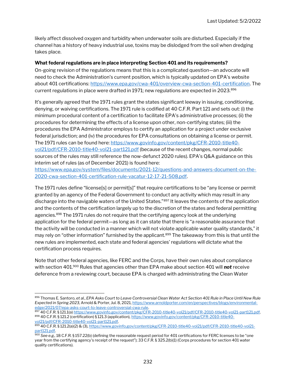likely affect dissolved oxygen and turbidity when underwater soils are disturbed. Especially if the channel has a history of heavy industrial use, toxins may be dislodged from the soil when dredging takes place.

#### What federal regulations are in place interpreting Section 401 and its requirements?

On-going revision of the regulations means that this is a complicated question—an advocate will need to check the Administration's current position, which is typically updated on EPA's website about 401 certifications: https://www.epa.gov/cwa-401/overview-cwa-section-401-certification. The current regulations in place were drafted in 1971; new regulations are expected in 2023.<sup>896</sup>

It's generally agreed that the 1971 rules grant the states significant leeway in issuing, conditioning, denying, or waiving certifications. The 1971 rule is codified at 40 C.F.R. Part 121 and sets out: (i) the minimum procedural content of a certification to facilitate EPA's administrative processes; (ii) the procedures for determining the effects of a license upon other, non-certifying states; (iii) the procedures the EPA Administrator employs to certify an application for a project under exclusive federal jurisdiction; and (iv) the procedures for EPA consultations on obtaining a license or permit. The 1971 rules can be found here: https://www.govinfo.gov/content/pkg/CFR-2010-title40 vol21/pdf/CFR-2010-title40-vol21-part121.pdf (because of the recent changes, normal public sources of the rules may still reference the now-defunct 2020 rules). EPA's Q&A guidance on this interim set of rules (as of December 2021) is found here:

https://www.epa.gov/system/files/documents/2021-12/questions-and-answers-document-on-the-2020-cwa-section-401-certification-rule-vacatur-12-17-21-508.pdf.

The 1971 rules define "license[s] or permit[s]" that require certifications to be "any license or permit granted by an agency of the Federal Government to conduct any activity which may result in any discharge into the navigable waters of the United States."<sup>897</sup> It leaves the contents of the application and the contents of the certification largely up to the discretion of the states and federal permitting agencies.<sup>898</sup> The 1971 rules do not require that the certifying agency look at the underlying application for the federal permit—as long as it can state that there is "a reasonable assurance that the activity will be conducted in a manner which will not violate applicable water quality standards," it may rely on "other information" furnished by the applicant.<sup>899</sup> The takeaway from this is that until the new rules are implemented, each state and federal agencies' regulations will dictate what the certification process requires.

Note that other federal agencies, like FERC and the Corps, have their own rules about compliance with section 401.900 Rules that agencies other than EPA make about section 401 will **not** receive deference from a reviewing court, because EPA is charged with administrating the Clean Water

<sup>896</sup> Thomas E. Santoro, et al., EPA Asks Court to Leave Controversial Clean Water Act Section 401 Rule in Place Until New Rule Expected in Spring 2023, Arnold & Porter, Jul. 8, 2021, https://www.arnoldporter.com/en/perspectives/blogs/environmentaledge/2021/07/epa-asks-court-to-leave-controversial-cwa-rule.

<sup>897 40</sup> C.F.R. § 121.1(a) https://www.govinfo.gov/content/pkg/CFR-2010-title40-vol21/pdf/CFR-2010-title40-vol21-part121.pdf. 898 40 C.F.R. § 121.2 (certification) § 121.3 (application), https://www.govinfo.gov/content/pkg/CFR-2010-title40vol21/pdf/CFR-2010-title40-vol21-part121.pdf.

<sup>899 40</sup> C.F.R. § 121.2(a)(2) & (3), https://www.govinfo.gov/content/pkg/CFR-2010-title40-vol21/pdf/CFR-2010-title40-vol21part121.pdf.

 $^{900}$  See e.g., 18 C.F.R. § 157.22(b) (defining the reasonable request period for 401 certifications for FERC licenses to be "one year from the certifying agency's receipt of the request"); 33 C.F.R. § 325.2(b)(1) (Corps procedures for section 401 water quality certifications).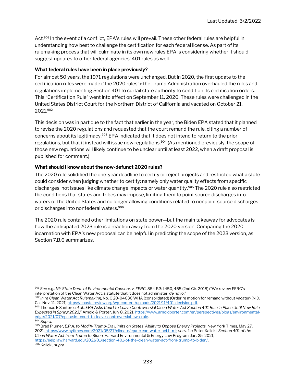Act.<sup>901</sup> In the event of a conflict, EPA's rules will prevail. These other federal rules are helpful in understanding how best to challenge the certification for each federal license. As part of its rulemaking process that will culminate in its own new rules EPA is considering whether it should suggest updates to other federal agencies' 401 rules as well.

#### What federal rules have been in place previously?

For almost 50 years, the 1971 regulations were unchanged. But in 2020, the first update to the certification rules were made ("the 2020 rules"): the Trump Administration overhauled the rules and regulations implementing Section 401 to curtail state authority to condition its certification orders. This "Certification Rule" went into effect on September 11, 2020. These rules were challenged in the United States District Court for the Northern District of California and vacated on October 21, 2021.<sup>902</sup>

This decision was in part due to the fact that earlier in the year, the Biden EPA stated that it planned to revise the 2020 regulations and requested that the court remand the rule, citing a number of concerns about its legitimacy.<sup>903</sup> EPA indicated that it does not intend to return to the prior regulations, but that it instead will issue new regulations.<sup>904</sup> (As mentioned previously, the scope of those new regulations will likely continue to be unclear until at least 2022, when a draft proposal is published for comment.)

#### What should I know about the now-defunct 2020 rules?

The 2020 rule solidified the one-year deadline to certify or reject projects and restricted what a state could consider when judging whether to certify: namely only water quality effects from specific discharges, not issues like climate change impacts or water quantity.<sup>905</sup> The 2020 rule also restricted the conditions that states and tribes may impose, limiting them to point source discharges into waters of the United States and no longer allowing conditions related to nonpoint source discharges or discharges into nonfederal waters.<sup>906</sup>

The 2020 rule contained other limitations on state power—but the main takeaway for advocates is how the anticipated 2023 rule is a reaction away from the 2020 version. Comparing the 2020 incarnation with EPA's new proposal can be helpful in predicting the scope of the 2023 version, as Section 7.B.6 summarizes.

906 Kalicki, supra.

<sup>901</sup> See e.g., NY State Dept. of Environmental Conserv. v. FERC, 884 F.3d 450, 455 (2nd Cir. 2018) ("We review FERC's interpretation of the Clean Water Act, a statute that it does not administer, de novo."

 $902$  In re Clean Water Act Rulemaking, No. C 20-04636 WHA (consolidated) (Order re motion for remand without vacatur) (N.D. Cal. Nov. 11, 2021) https://coastalreview.org/wp-content/uploads/2021/11/401-decision.pdf.

<sup>903</sup> Thomas E Santoro, et al., EPA Asks Court to Leave Controversial Clean Water Act Section 401 Rule in Place Until New Rule Expected in Spring 2023," Arnold & Porter, July 8, 2021, https://www.arnoldporter.com/en/perspectives/blogs/environmentaledge/2021/07/epa-asks-court-to-leave-controversial-cwa-rule.

<sup>904</sup> Supra.

<sup>&</sup>lt;sup>905</sup> Brad Plumer, E.P.A. to Modify Trump-Era Limits on States' Ability to Oppose Energy Projects, New York Times, May 27, 2021, https://www.nytimes.com/2021/05/27/climate/epa-clean-water-act.html; see also Peter Kalicki, Section 401 of the Clean Water Act from Trump to Biden, Harvard Environmental & Energy Law Program, Jan. 25, 2021, https://eelp.law.harvard.edu/2021/01/section-401-of-the-clean-water-act-from-trump-to-biden/.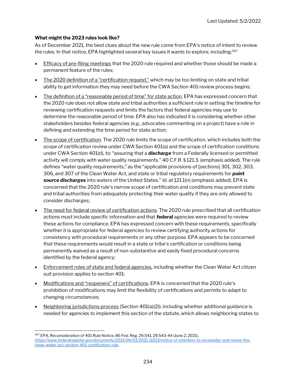#### What might the 2023 rules look like?

As of December 2021, the best clues about the new rule come from EPA's notice of intent to review the rules. In that notice, EPA highlighted several key issues it wants to explore, including:<sup>907</sup>

- Efficacy of pre-filing meetings that the 2020 rule required and whether those should be made a permanent feature of the rules;
- The 2020 definition of a "certification request," which may be too limiting on state and tribal ability to get information they may need before the CWA Section 401 review process begins;
- The definition of a "reasonable period of time" for state action. EPA has expressed concern that the 2020 rule does not allow state and tribal authorities a sufficient role in setting the timeline for reviewing certification requests and limits the factors that federal agencies may use to determine the reasonable period of time. EPA also has indicated it is considering whether other stakeholders besides federal agencies (e.g., advocates commenting on a project) have a role in defining and extending the time period for state action;
- The scope of certification. The 2020 rule limits the scope of certification, which includes both the scope of certification review under CWA Section 401(a) and the scope of certification conditions under CWA Section 401(d), to: "assuring that a **discharge** from a Federally licensed or permitted activity will comply with water quality requirements." 40 C.F.R. § 121.3. (emphasis added). The rule defines "water quality requirements," as the "applicable provisions of [sections] 301, 302, 303, 306, and 307 of the Clean Water Act, and state or tribal regulatory requirements for **point** source discharges into waters of the United States." Id. at 121.1(n) (emphasis added). EPA is concerned that the 2020 rule's narrow scope of certification and conditions may prevent state and tribal authorities from adequately protecting their water quality if they are only allowed to consider discharges;
- The need for federal review of certification actions. The 2020 rule prescribed that all certification actions must include specific information and that **federal** agencies were required to review these actions for compliance. EPA has expressed concern with these requirements, specifically whether it is appropriate for federal agencies to review certifying authority actions for consistency with procedural requirements or any other purpose. EPA appears to be concerned that these requirements would result in a state or tribe's certification or conditions being permanently waived as a result of non-substantive and easily fixed procedural concerns identified by the federal agency;
- Enforcement roles of state and federal agencies, including whether the Clean Water Act citizen suit provision applies to section 401;
- Modifications and "reopeners" of certifications. EPA is concerned that the 2020 rule's prohibition of modifications may limit the flexibility of certifications and permits to adapt to changing circumstances;
- Neighboring jurisdictions process (Section  $401(a)(2)$ ); including whether additional guidance is needed for agencies to implement this section of the statute, which allows neighboring states to

<sup>907</sup> EPA, Reconsideration of 401 Rule Notice, 86 Fed. Reg. 29,541, 29,543-44 (June 2, 2021), https://www.federalregister.gov/documents/2021/06/02/2021-11513/notice-of-intention-to-reconsider-and-revise-theclean-water-act-section-401-certification-rule.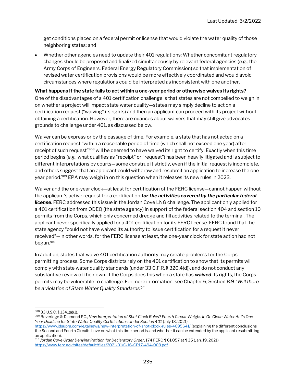get conditions placed on a federal permit or license that would violate the water quality of those neighboring states; and

• Whether other agencies need to update their 401 regulations: Whether concomitant regulatory changes should be proposed and finalized simultaneously by relevant federal agencies (e.g., the Army Corps of Engineers, Federal Energy Regulatory Commission) so that implementation of revised water certification provisions would be more effectively coordinated and would avoid circumstances where regulations could be interpreted as inconsistent with one another.

#### What happens if the state fails to act within a one-year period or otherwise waives its rights?

One of the disadvantages of a 401 certification challenge is that states are not compelled to weigh in on whether a project will impact state water quality—states may simply decline to act on a certification request ("waiving" its rights) and then an applicant can proceed with its project without obtaining a certification. However, there are nuances about waivers that may still give advocates grounds to challenge under 401, as discussed below.

Waiver can be express or by the passage of time. For example, a state that has not acted on a certification request "within a reasonable period of time (which shall not exceed one year) after receipt of such request"<sup>908</sup> will be deemed to have waived its right to certify. Exactly when this time period begins (e.g., what qualifies as "receipt" or "request") has been heavily litigated and is subject to different interpretations by courts—some construe it strictly, even if the initial request is incomplete, and others suggest that an applicant could withdraw and resubmit an application to increase the oneyear period.<sup>909</sup> EPA may weigh in on this question when it releases its new rules in 2023.

Waiver and the one-year clock—at least for certification of the FERC license—cannot happen without the applicant's active request for a certification for the activities covered by the particular federal **license**. FERC addressed this issue in the Jordan Cove LNG challenge. The applicant only applied for a 401 certification from ODEQ (the state agency) in support of the federal section 404 and section 10 permits from the Corps, which only concerned dredge and fill activities related to the terminal. The applicant never specifically applied for a 401 certification for its FERC license. FERC found that the state agency "could not have waived its authority to issue certification for a request it never received"—in other words, for the FERC license at least, the one-year clock for state action had not begun.<sup>910</sup>

In addition, states that waive 401 certification authority may create problems for the Corps permitting process. Some Corps districts rely on the 401 certification to show that its permits will comply with state water quality standards (under 33 C.F.R. § 320.4(d)), and do not conduct any substantive review of their own. If the Corps does this when a state has **waived** its rights, the Corps permits may be vulnerable to challenge. For more information, see Chapter 6, Section B.9 "Will there be a violation of State Water Quality Standards?"

<sup>908</sup> 33 U.S.C. § 1341(a)(1).

<sup>909</sup> Beveridge & Diamond PC., New Interpretation of Shot Clock Rules? Fourth Circuit Weighs In On Clean Water Act's One Year Deadline for State Water Quality Certifications Under Section 401 (July 13, 2021),

https://www.jdsupra.com/legalnews/new-interpretation-of-shot-clock-rules-4695641/ (explaining the different conclusions the Second and Fourth Circuits have on what this time period is, and whether it can be extended by the applicant resubmitting an application).

<sup>910</sup> Jordan Cove Order Denying Petition for Declaratory Order, 174 FERC ¶ 61,057 at ¶ 35 (Jan. 19, 2021) https://www.ferc.gov/sites/default/files/2021-01/C-16-CP17-494-003.pdf.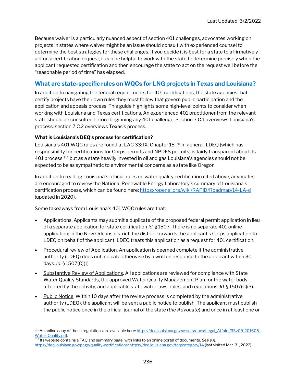Because waiver is a particularly nuanced aspect of section 401 challenges, advocates working on projects in states where waiver might be an issue should consult with experienced counsel to determine the best strategies for these challenges. If you decide it is best for a state to affirmatively act on a certification request, it can be helpful to work with the state to determine precisely when the applicant requested certification and then encourage the state to act on the request well before the "reasonable period of time" has elapsed.

#### What are state-specific rules on WQCs for LNG projects in Texas and Louisiana?

In addition to navigating the federal requirements for 401 certifications, the state agencies that certify projects have their own rules they must follow that govern public participation and the application and appeals process. This guide highlights some high-level points to consider when working with Louisiana and Texas certifications. An experienced 401 practitioner from the relevant state should be consulted before beginning any 401 challenge. Section 7.C.1 overviews Louisiana's process; section 7.C.2 overviews Texas's process.

#### What is Louisiana's DEQ's process for certification?

Louisiana's 401 WQC rules are found at LAC 33: IX. Chapter 15.<sup>911</sup> In general, LDEQ (which has responsibility for certifications for Corps permits and NPDES permits) is fairly transparent about its 401 process,<sup>912</sup> but as a state heavily invested in oil and gas Louisiana's agencies should not be expected to be as sympathetic to environmental concerns as a state like Oregon.

In addition to reading Louisiana's official rules on water quality certification cited above, advocates are encouraged to review the National Renewable Energy Laboratory's summary of Louisiana's certification process, which can be found here: https://openei.org/wiki/RAPID/Roadmap/14-LA-d (updated in 2020).

Some takeaways from Louisiana's 401 WQC rules are that:

- Applications. Applicants may submit a duplicate of the proposed federal permit application in lieu of a separate application for state certification Id. § 1507. There is no separate 401 online application; in the New Orleans district, the district forwards the applicant's Corps application to LDEQ on behalf of the applicant; LDEQ treats this application as a request for 401 certification.
- Procedural review of Application. An application is deemed complete if the administrative authority (LDEQ) does not indicate otherwise by a written response to the applicant within 30 days. Id. § 1507(C)(1)
- **Substantive Review of Applications.** All applications are reviewed for compliance with State Water Quality Standards, the approved Water Quality Management Plan for the water body affected by the activity, and applicable state water laws, rules, and regulations. Id. § 1507(C)(3).
- Public Notice. Within 10 days after the review process is completed by the administrative authority (LDEQ), the applicant will be sent a public notice to publish. The applicant must publish the public notice once in the official journal of the state (the Advocate) and once in at least one or

<sup>911</sup> An online copy of these regulations are available here: https://deq.louisiana.gov/assets/docs/Legal\_Affairs/33v09-201605-Water-Quality.pdf.

 $^{912}$  Its website contains a FAQ and summary page, with links to an online portal of documents. See e.g., https://deq.louisiana.gov/page/quality-certifications; https://deq.louisiana.gov/faq/category/14 (last visited Mar. 31, 2022).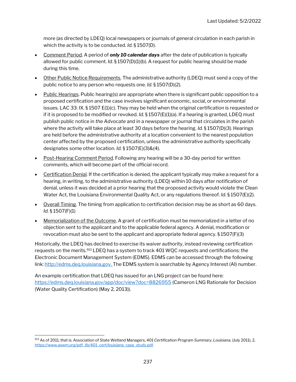more (as directed by LDEQ) local newspapers or journals of general circulation in each parish in which the activity is to be conducted. Id. § 1507(D).

- Comment Period. A period of **only 10 calendar days** after the date of publication is typically allowed for public comment. Id.  $\S 1507(D)(1)(b)$ . A request for public hearing should be made during this time.
- Other Public Notice Requirements. The administrative authority (LDEQ) must send a copy of the public notice to any person who requests one. Id. § 1507(D)(2).
- Public Hearings. Public hearing(s) are appropriate when there is significant public opposition to a proposed certification and the case involves significant economic, social, or environmental issues. LAC 33: IX. § 1507 E(1)(c). They may be held when the original certification is requested or if it is proposed to be modified or revoked. Id.  $\S 1507(E)(1)(a)$ . If a hearing is granted, LDEQ must publish public notice in the Advocate and in a newspaper or journal that circulates in the parish where the activity will take place at least 30 days before the hearing. Id. § 1507(D)(3). Hearings are held before the administrative authority at a location convenient to the nearest population center affected by the proposed certification, unless the administrative authority specifically designates some other location. Id. § 1507(E)(3)&(4).
- Post-Hearing Comment Period. Following any hearing will be a 30-day period for written comments, which will become part of the official record.
- Certification Denial. If the certification is denied, the applicant typically may make a request for a hearing, in writing, to the administrative authority (LDEQ) within 10 days after notification of denial, unless it was decided at a prior hearing that the proposed activity would violate the Clean Water Act, the Louisiana Environmental Quality Act, or any regulations thereof. Id. § 1507(E)(2).
- Overall Timing. The timing from application to certification decision may be as short as 60 days. Id. § 1507(F)(1)
- Memorialization of the Outcome. A grant of certification must be memorialized in a letter of no objection sent to the applicant and to the applicable federal agency. A denial, modification or revocation must also be sent to the applicant and appropriate federal agency. § 1507(F)(3)

Historically, the LDEQ has declined to exercise its waiver authority, instead reviewing certification requests on the merits.<sup>913</sup> LDEQ has a system to track 401 WQC requests and certifications: the Electronic Document Management System (EDMS). EDMS can be accessed through the following link: http://edms.deq.louisiana.gov. The EDMS system is searchable by Agency Interest (AI) number.

An example certification that LDEQ has issued for an LNG project can be found here: https://edms.deq.louisiana.gov/app/doc/view?doc=8826955 (Cameron LNG Rationale for Decision (Water Quality Certification) (May 2, 2013)).

<sup>913</sup> As of 2011, that is. Association of State Wetland Managers, 401 Certification Program Summary, Louisiana, (July 2011), 2, https://www.aswm.org/pdf\_lib/401\_cert/louisiana\_case\_study.pdf.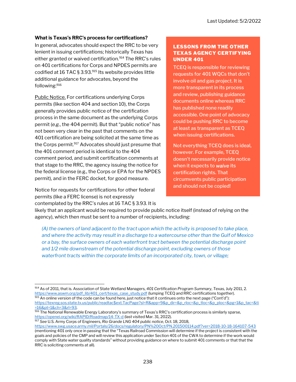#### What is Texas's RRC's process for certifications?

In general, advocates should expect the RRC to be very lenient in issuing certifications; historically Texas has either granted or waived certification.<sup>914</sup> The RRC's rules on 401 certifications for Corps and NPDES permits are codified at 16 TAC § 3.93.915 Its website provides little additional guidance for advocates, beyond the following:<sup>916</sup>

Public Notice. For certifications underlying Corps permits (like section 404 and section 10), the Corps generally provides public notice of the certification process in the same document as the underlying Corps permit (e.g., the 404 permit). But that "public notice" has not been very clear in the past that comments on the 401 certification are being solicited at the same time as the Corps permit.<sup>917</sup> Advocates should just presume that the 401 comment period is identical to the 404 comment period, and submit certification comments at that stage to the RRC, the agency issuing the notice for the federal license (e.g., the Corps or EPA for the NPDES permit), and in the FERC docket, for good measure.

Notice for requests for certifications for other federal permits (like a FERC license) is not expressly contemplated by the RRC's rules at 16 TAC § 3.93. It is

#### LESSONS FROM THE OTHER TEXAS AGENCY CERTIFYING UNDER 401

TCEQ is responsible for reviewing requests for 401 WQCs that don't involve oil and gas project. It is more transparent in its process and review, publishing guidance documents online whereas RRC has published none readily accessible. One point of advocacy could be pushing RRC to become at least as transparent as TCEQ when issuing certifications.

Not everything TCEQ does is ideal, however. For example, TCEQ doesn't necessarily provide notice when it expects to waive its certification rights. That circumvents public participation and should not be copied!

likely that an applicant would be required to provide public notice itself (instead of relying on the agency), which then must be sent to a number of recipients, including:

(A) the owners of land adjacent to the tract upon which the activity is proposed to take place, and where the activity may result in a discharge to a watercourse other than the Gulf of Mexico or a bay, the surface owners of each waterfront tract between the potential discharge point and 1/2 mile downstream of the potential discharge point, excluding owners of those waterfront tracts within the corporate limits of an incorporated city, town, or village;

917 See U.S. Army Corps of Engineers, Rio Grande LNG 404 public notice, Oct. 18, 2018,

<sup>914</sup> As of 2011, that is. Association of State Wetland Managers, 401 Certification Program Summary, Texas, July 2011, 2. https://www.aswm.org/pdf\_lib/401\_cert/texas\_case\_study.pdf (lumping TCEQ and RRC certifications together). 915 An online version of the code can be found here, just notice that it continues onto the next page ("Cont'd"):

https://texreg.sos.state.tx.us/public/readtac\$ext.TacPage?sl=R&app=9&p\_dir=&p\_rloc=&p\_tloc=&p\_ploc=&pg=1&p\_tac=&ti =16&pt=1&ch=3&rl=93.

<sup>916</sup> The National Renewable Energy Laboratory's summary of Texas's RRC's certification process is similarly sparse, https://openei.org/wiki/RAPID/Roadmap/14-TX-d (last visited Mar. 31, 2022).

https://www.swg.usace.army.mil/Portals/26/docs/regulatory/PN%20Oct/PN.201500114.pdf?ver=2018-10-18-164107-543 (mentioning 401 only once in passing that the "Texas Railroad Commission will determine if the project is consistent with the goals and policies of the CMP and will review this application under Section 401 of the CWA to determine if the work would comply with State water quality standards" without providing guidance on where to submit 401 comments or that that the RRC is soliciting comments at all).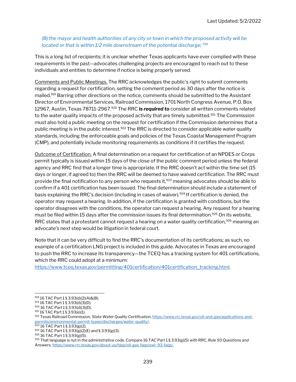#### (B) the mayor and health authorities of any city or town in which the proposed activity will be located or that is within  $1/2$  mile downstream of the potential discharge;  $918$

This is a long list of recipients; it is unclear whether Texas applicants have ever complied with these requirements in the past—advocates challenging projects are encouraged to reach out to these individuals and entities to determine if notice is being properly served.

Comments and Public Meetings. The RRC acknowledges the public's right to submit comments regarding a request for certification, setting the comment period as 30 days after the notice is mailed.<sup>919</sup> Barring other directions on the notice, comments should be submitted to the Assistant Director of Environmental Services, Railroad Commission, 1701 North Congress Avenue, P.O. Box 12967, Austin, Texas 78711-2967.920 The RRC is required to consider all written comments related to the water quality impacts of the proposed activity that are timely submitted.<sup>921</sup> The Commission must also hold a public meeting on the request for certification if the Commission determines that a public meeting is in the public interest.<sup>922</sup> The RRC is directed to consider applicable water quality standards, including the enforceable goals and policies of the Texas Coastal Management Program (CMP), and potentially include monitoring requirements as conditions if it certifies the request.

Outcome of Certification. A final determination on a request for certification of an NPDES or Corps permit typically is issued within 15 days of the close of the public comment period unless the federal agency and RRC find that a longer time is appropriate. If the RRC doesn't act within the time set (15 days or longer, if agreed to) then the RRC will be deemed to have waived certification. The RRC must provide the final notification to any person who requests it,<sup>923</sup> meaning advocates should be able to confirm if a 401 certification has been issued. The final determination should include a statement of basis explaining the RRC's decision (including in cases of waiver).<sup>924</sup> If certification is denied, the operator may request a hearing. In addition, if the certification is granted with conditions, but the operator disagrees with the conditions, the operator can request a hearing. Any request for a hearing must be filed within 15 days after the commission issues its final determination.<sup>925</sup> On its website, RRC states that a protestant cannot request a hearing on a water quality certification, $926$  meaning an advocate's next step would be litigation in federal court.

Note that it can be very difficult to find the RRC's documentation of its certifications; as such, no example of a certification LNG project is included in this guide. Advocates in Texas are encouraged to push the RRC to increase its transparency—the TCEQ has a tracking system for 401 certifications, which the RRC could adopt at a minimum:

https://www.tceq.texas.gov/permitting/401certification/401certification\_tracking.html.

<sup>918</sup> 16 TAC Part 1 § 3.93(d)(2)(A)&(B).

<sup>919</sup> 16 TAC Part 1 § 3.93(d)(3)(D).

<sup>920</sup> 16 TAC Part 1 § 3.93(d)(3)(D).

<sup>921</sup> 16 TAC Part 1 § 3.93(e)(1).

<sup>922</sup> Texas Railroad Commission, State Water Quality Certification, https://www.rrc.texas.gov/oil-and-gas/applications-andpermits/environmental-permit-types/discharges/water-quality/.

 $92316$  TAC Part 1 § 3.93(g)(2).

<sup>924</sup> 16 TAC Part 1 § 3.93(g)(2)(E) and § 3.93(g)(3).

<sup>925</sup> 16 TAC Part 1 § 3.93(g)(5).

 $926$  That language is not in the administrative code. Compare 16 TAC Part 1 § 3.93(g)(5) with RRC, Rule 93 Questions and Answers, https://www.rrc.texas.gov/about-us/faqs/oil-gas-faqs/swr-93-faqs/.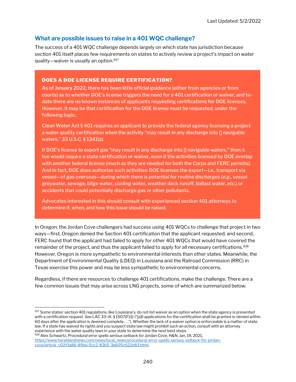#### What are possible issues to raise in a 401 WQC challenge?

The success of a 401 WQC challenge depends largely on which state has jurisdiction because section 401 itself places few requirements on states to actively review a project's impact on water quality—waiver is usually an option.<sup>927</sup>

#### DOES A DOE LICENSE REQUIRE CERTIFICATION?

As of January 2022, there has been little official guidance (either from agencies or from courts) as to whether DOE's license triggers the need for a 401 certification or waiver, and todate there are no known instances of applicants requesting certifications for DOE licenses. However, it may be that certification for the DOE license must be requested, under the following logic:

Clean Water Act § 401 requires an applicant to provide the federal agency licensing a project a water quality certification when the activity "may result in any discharge into [] navigable waters." 33 U.S.C. § 1341(a).

If DOE's license to export gas "may result in any discharge into [] navigable waters," then it too would require a state certification or waiver, even if the activities licensed by DOE overlap with another federal license (much as they are needed for both the Corps and FERC permits). And in fact, DOE does authorize such activities: DOE licenses the export—i.e., transport via vessel—of gas overseas—during which there is potential for routine discharges (e.g., vessel greywater, sewage, bilge water, cooling water, weather deck runoff, ballast water, etc.) or accidents that could potentially discharge gas or other pollutants.

Advocates interested in this should consult with experienced section 401 attorneys to determine if, when, and how this issue should be raised.

In Oregon, the Jordan Cove challengers had success using 401 WQCs to challenge that project in two ways—first, Oregon denied the Section 401 certification that the applicant requested; and second, FERC found that the applicant had failed to apply for other 401 WQCs that would have covered the remainder of the project, and thus the applicant failed to apply for all necessary certifications.<sup>928</sup> However, Oregon is more sympathetic to environmental interests than other states. Meanwhile, the Department of Environmental Quality (LDEQ) in Louisiana and the Railroad Commission (RRC) in Texas exercise this power and may be less sympathetic to environmental concerns.

Regardless, if there are resources to challenge 401 certifications, make the challenge. There are a few common issues that may arise across LNG projects, some of which are summarized below:

<sup>927</sup> Some states' section 401 regulations, like Louisiana's, do not list waiver as an option when the state agency is presented with a certification request. See LAC 33: IX. § 1507(F)(1) ("[a]ll applications for the certification shall be granted or denied within 60 days after the application is deemed complete . . ."). Whether the lack of a waiver option is enforceable is a matter of state law. If a state has waived its rights and you suspect state law might prohibit such an action, consult with an attorney experience with the water quality laws in your state to determine the next best steps.

<sup>928</sup> Alex Schwartz, Procedural error spells serious setback for Jordan Cove, H&N, Jan. 19, 2021, https://www.heraldandnews.com/news/local\_news/procedural-error-spells-serious-setback-for-jordancove/article\_c02f3a86-89ea-5cc2-82b5-3a605c622e83.html.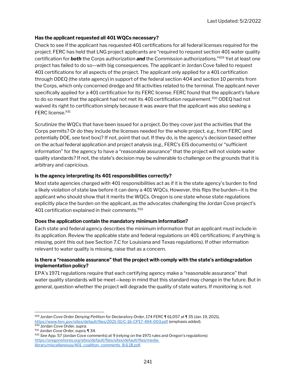#### Has the applicant requested all 401 WQCs necessary?

Check to see if the applicant has requested 401 certifications for all federal licenses required for the project. FERC has held that LNG project applicants are "required to request section 401 water quality certification for **both** the Corps authorization and the Commission authorizations."<sup>929</sup> Yet at least one project has failed to do so—with big consequences. The applicant in Jordan Cove failed to request 401 certifications for all aspects of the project. The applicant only applied for a 401 certification through ODEQ (the state agency) in support of the federal section 404 and section 10 permits from the Corps, which only concerned dredge and fill activities related to the terminal. The applicant never specifically applied for a 401 certification for its FERC license. FERC found that the applicant's failure to do so meant that the applicant had not met its 401 certification requirement.<sup>930</sup> ODEQ had not waived its right to certification simply because it was aware that the applicant was also seeking a FERC license.<sup>931</sup>

Scrutinize the WQCs that have been issued for a project. Do they cover just the activities that the Corps permits? Or do they include the licenses needed for the whole project, e.g., from FERC (and potentially DOE, see text box)? If not, point that out. If they do, is the agency's decision based either on the actual federal application and project analysis (e.g., FERC's EIS documents) or "sufficient information" for the agency to have a "reasonable assurance" that the project will not violate water quality standards? If not, the state's decision may be vulnerable to challenge on the grounds that it is arbitrary and capricious.

#### Is the agency interpreting its 401 responsibilities correctly?

Most state agencies charged with 401 responsibilities act as if it is the state agency's burden to find a likely violation of state law before it can deny a 401 WQCs. However, this flips the burden—it is the applicant who should show that it merits the WQCs. Oregon is one state whose state regulations explicitly place the burden on the applicant, as the advocates challenging the Jordan Cove project's 401 certification explained in their comments.<sup>932</sup>

#### Does the application contain the mandatory minimum information?

Each state and federal agency describes the minimum information that an applicant must include in its application. Review the applicable state and federal regulations on 401 certifications; if anything is missing, point this out (see Section 7.C for Louisiana and Texas regulations). If other information relevant to water quality is missing, raise that as a concern.

#### Is there a "reasonable assurance" that the project with comply with the state's antidegradation implementation policy?

EPA's 1971 regulations require that each certifying agency make a "reasonable assurance" that water quality standards will be meet—keep in mind that this standard may change in the future. But in general, question whether the project will degrade the quality of state waters. If monitoring is not

<sup>929</sup> Jordan Cove Order Denying Petition for Declaratory Order, 174 FERC ¶ 61,057 at ¶ 35 (Jan. 19, 2021), https://www.ferc.gov/sites/default/files/2021-01/C-16-CP17-494-003.pdf (emphasis added).

<sup>930</sup> Jordan Cove Order, supra.

<sup>931</sup> Jordan Cove Order, supra, ¶ 34.

<sup>932</sup> See App. 57 (Jordan Cove comments) at 9 (relying on the 1971 rules and Oregon's regulations) https://oregonshores.org/sites/default/files/sites/default/files/medialibrary/miscellaneous/401\_coalition\_comments\_8.6.18.pdf.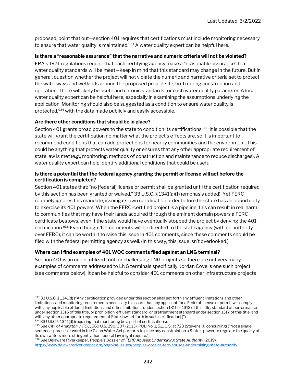proposed, point that out—section 401 requires that certifications must include monitoring necessary to ensure that water quality is maintained.<sup>933</sup> A water quality expert can be helpful here.

#### Is there a "reasonable assurance" that the narrative and numeric criteria will not be violated?

EPA's 1971 regulations require that each certifying agency make a "reasonable assurance" that water quality standards will be meet—keep in mind that this standard may change in the future. But in general, question whether the project will not violate the numeric and narrative criteria set to protect the waterways and wetlands around the proposed project site, both during construction and operation. There will likely be acute and chronic standards for each water quality parameter. A local water quality expert can be helpful here, especially in examining the assumptions underlying the application. Monitoring should also be suggested as a condition to ensure water quality is protected,<sup>934</sup> with the data made publicly and easily accessible.

#### Are there other conditions that should be in place?

Section 401 grants broad powers to the state to condition its certifications.<sup>935</sup> It is possible that the state will grant the certification no matter what the project's effects are, so it is important to recommend conditions that can add protections for nearby communities and the environment. This could be anything that protects water quality or ensures that any other appropriate requirement of state law is met (e.g., monitoring, methods of construction and maintenance to reduce discharges). A water quality expert can help identify additional conditions that could be useful.

#### Is there a potential that the federal agency granting the permit or license will act before the certification is completed?

Section 401 states that: "no [federal] license or permit shall be granted until the certification required by this section has been granted or waived." 33 U.S.C. § 1341(a)(1) (emphasis added). Yet FERC routinely ignores this mandate, issuing its own certification order before the state has an opportunity to exercise its 401 powers. When the FERC-certified project is a pipeline, this can result in real harm to communities that may have their lands acquired through the eminent domain powers a FERC certificate bestows, even if the state would have eventually stopped the project by denying the 401 certification.<sup>936</sup> Even though 401 comments will be directed to the state agency (with no authority over FERC), it can be worth it to raise this issue in 401 comments, since these comments should be filed with the federal permitting agency as well. (In this way, this issue isn't overlooked.)

#### Where can I find examples of 401 WQC comments filed against an LNG terminal?

Section 401 is an under-utilized tool for challenging LNG projects so there are not very many examples of comments addressed to LNG terminals specifically. Jordan Cove is one such project (see comments below). It can be helpful to consider 401 comments on other infrastructure projects

 $933$  33 U.S.C. § 1341(d) ("Any certification provided under this section shall set forth any effluent limitations and other limitations, and monitoring requirements necessary to assure that any applicant for a Federal license or permit will comply with any applicable effluent limitations and other limitations, under section 1311 or 1312 of this title, standard of performance under section 1316 of this title, or prohibition, effluent standard, or pretreatment standard under section 1317 of this title, and with any other appropriate requirement of State law set forth in such certification[.]").

<sup>934 33</sup> U.S.C. § 1341(d) (requiring that monitoring be a part of certifications).

<sup>935</sup> See City of Arlington v. FCC, 569 U.S. 290, 307 (2013); PUD No. 1, 511 U.S. at 723 (Stevens, J., concurring) ("Not a single sentence, phrase, or word in the Clean Water Act purports to place any constraint on a State's power to regulate the quality of its own waters more stringently than federal law might require.").

<sup>936</sup> See Delaware Riverkeeper, People's Dossier of FERC Abuses: Undermining State Authority (2019), https://www.delawareriverkeeper.org/ongoing-issues/peoples-dossier-ferc-abuses-undermining-state-authority.